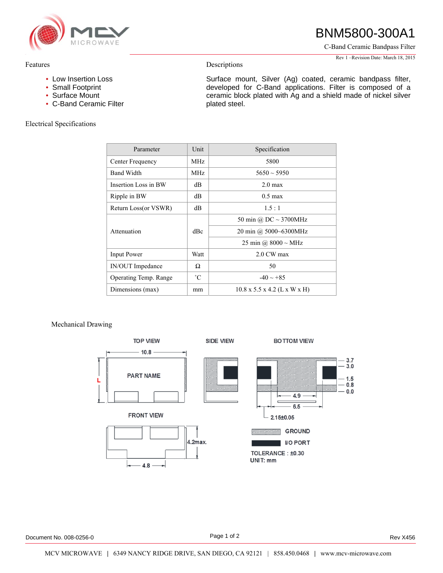

# BNM5800-300A1

C-Band Ceramic Bandpass Filter

Rev 1 –Revision Date: March 18, 2015

### Features

- Low Insertion Loss
- Small Footprint
- Surface Mount
- C-Band Ceramic Filter

## Electrical Specifications

Surface mount, Silver (Ag) coated, ceramic bandpass filter, developed for C-Band applications. Filter is composed of a ceramic block plated with Ag and a shield made of nickel silver plated steel.

| Parameter             | Unit        | Specification                            |
|-----------------------|-------------|------------------------------------------|
| Center Frequency      | MHz.        | 5800                                     |
| <b>Band Width</b>     | MHz.        | $5650 \sim 5950$                         |
| Insertion Loss in BW  | dВ          | $2.0 \text{ max}$                        |
| Ripple in BW          | dB          | $0.5 \text{ max}$                        |
| Return Loss(or VSWR)  | dB          | 1.5:1                                    |
| Attenuation           | dBc         | 50 min @ DC $\sim$ 3700MHz               |
|                       |             | 20 min @ 5000~6300MHz                    |
|                       |             | 25 min @ $8000 \sim MHz$                 |
| Input Power           | Watt        | 2.0 CW max                               |
| IN/OUT Impedance      | Ω           | 50                                       |
| Operating Temp. Range | $^{\circ}C$ | $-40 \sim +85$                           |
| Dimensions (max)      | mm          | $10.8 \times 5.5 \times 4.2$ (L x W x H) |

Descriptions

## Mechanical Drawing